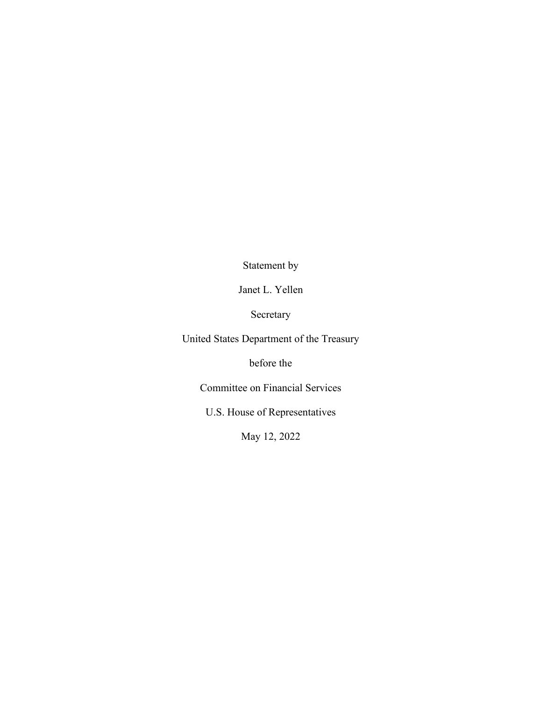Statement by

Janet L. Yellen

Secretary

United States Department of the Treasury

before the

Committee on Financial Services

U.S. House of Representatives

May 12, 2022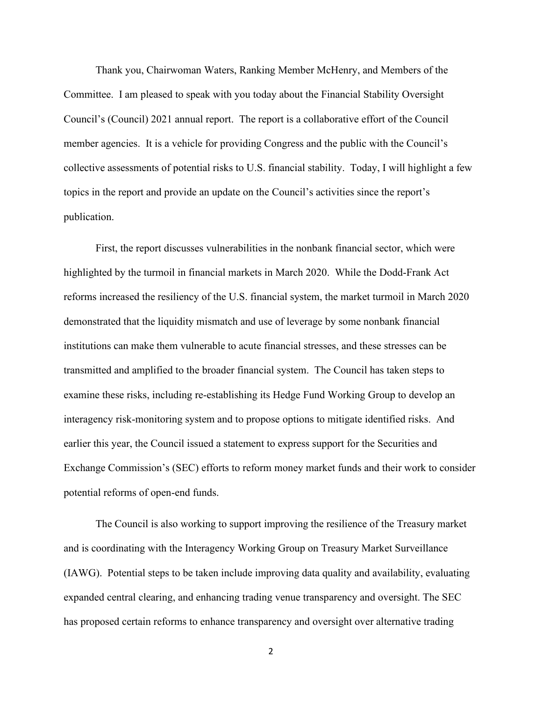Thank you, Chairwoman Waters, Ranking Member McHenry, and Members of the Committee. I am pleased to speak with you today about the Financial Stability Oversight Council's (Council) 2021 annual report. The report is a collaborative effort of the Council member agencies. It is a vehicle for providing Congress and the public with the Council's collective assessments of potential risks to U.S. financial stability. Today, I will highlight a few topics in the report and provide an update on the Council's activities since the report's publication.

First, the report discusses vulnerabilities in the nonbank financial sector, which were highlighted by the turmoil in financial markets in March 2020. While the Dodd-Frank Act reforms increased the resiliency of the U.S. financial system, the market turmoil in March 2020 demonstrated that the liquidity mismatch and use of leverage by some nonbank financial institutions can make them vulnerable to acute financial stresses, and these stresses can be transmitted and amplified to the broader financial system. The Council has taken steps to examine these risks, including re-establishing its Hedge Fund Working Group to develop an interagency risk-monitoring system and to propose options to mitigate identified risks. And earlier this year, the Council issued a statement to express support for the Securities and Exchange Commission's (SEC) efforts to reform money market funds and their work to consider potential reforms of open-end funds.

The Council is also working to support improving the resilience of the Treasury market and is coordinating with the Interagency Working Group on Treasury Market Surveillance (IAWG). Potential steps to be taken include improving data quality and availability, evaluating expanded central clearing, and enhancing trading venue transparency and oversight. The SEC has proposed certain reforms to enhance transparency and oversight over alternative trading

2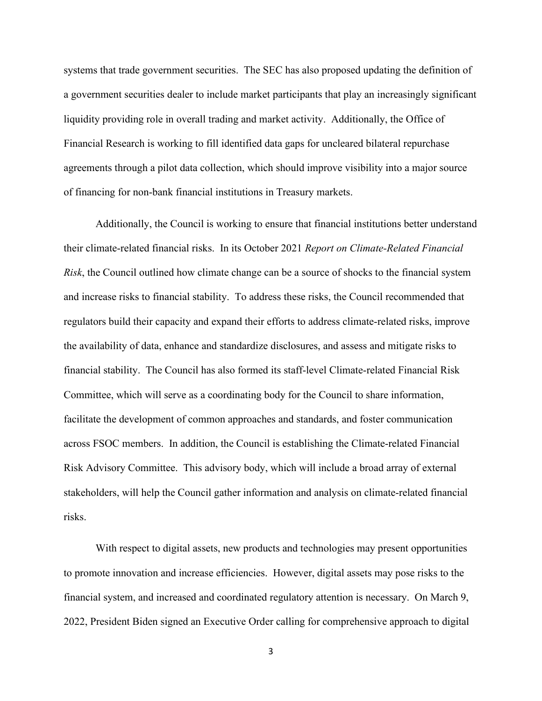systems that trade government securities. The SEC has also proposed updating the definition of a government securities dealer to include market participants that play an increasingly significant liquidity providing role in overall trading and market activity. Additionally, the Office of Financial Research is working to fill identified data gaps for uncleared bilateral repurchase agreements through a pilot data collection, which should improve visibility into a major source of financing for non-bank financial institutions in Treasury markets.

Additionally, the Council is working to ensure that financial institutions better understand their climate-related financial risks. In its October 2021 *Report on Climate-Related Financial Risk*, the Council outlined how climate change can be a source of shocks to the financial system and increase risks to financial stability. To address these risks, the Council recommended that regulators build their capacity and expand their efforts to address climate-related risks, improve the availability of data, enhance and standardize disclosures, and assess and mitigate risks to financial stability. The Council has also formed its staff-level Climate-related Financial Risk Committee, which will serve as a coordinating body for the Council to share information, facilitate the development of common approaches and standards, and foster communication across FSOC members. In addition, the Council is establishing the Climate-related Financial Risk Advisory Committee. This advisory body, which will include a broad array of external stakeholders, will help the Council gather information and analysis on climate-related financial risks.

With respect to digital assets, new products and technologies may present opportunities to promote innovation and increase efficiencies. However, digital assets may pose risks to the financial system, and increased and coordinated regulatory attention is necessary. On March 9, 2022, President Biden signed an Executive Order calling for comprehensive approach to digital